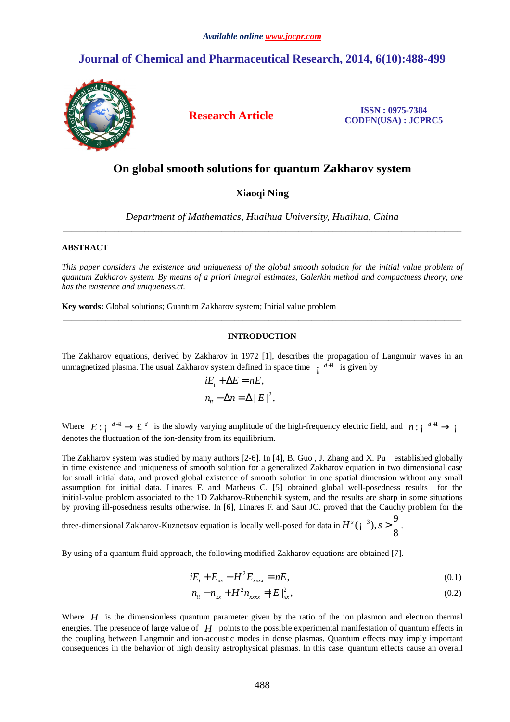# **Journal of Chemical and Pharmaceutical Research, 2014, 6(10):488-499**



**Research Article ISSN : 0975-7384 CODEN(USA) : JCPRC5**

## **On global smooth solutions for quantum Zakharov system**

### **Xiaoqi Ning**

*Department of Mathematics, Huaihua University, Huaihua, China*  \_\_\_\_\_\_\_\_\_\_\_\_\_\_\_\_\_\_\_\_\_\_\_\_\_\_\_\_\_\_\_\_\_\_\_\_\_\_\_\_\_\_\_\_\_\_\_\_\_\_\_\_\_\_\_\_\_\_\_\_\_\_\_\_\_\_\_\_\_\_\_\_\_\_\_\_\_\_\_\_\_\_\_\_\_\_\_\_\_\_\_\_\_

### **ABSTRACT**

*This paper considers the existence and uniqueness of the global smooth solution for the initial value problem of quantum Zakharov system. By means of a priori integral estimates, Galerkin method and compactness theory, one has the existence and uniqueness.ct.* 

**Key words:** Global solutions; Guantum Zakharov system; Initial value problem

#### **INTRODUCTION**

\_\_\_\_\_\_\_\_\_\_\_\_\_\_\_\_\_\_\_\_\_\_\_\_\_\_\_\_\_\_\_\_\_\_\_\_\_\_\_\_\_\_\_\_\_\_\_\_\_\_\_\_\_\_\_\_\_\_\_\_\_\_\_\_\_\_\_\_\_\_\_\_\_\_\_\_\_\_\_\_\_\_\_\_\_\_\_\_\_\_\_\_\_

The Zakharov equations, derived by Zakharov in 1972 [1], describes the propagation of Langmuir waves in an unmagnetized plasma. The usual Zakharov system defined in space time  $\frac{d+1}{d}$  is given by

$$
iE_t + \Delta E = nE,
$$
  

$$
n_{tt} - \Delta n = \Delta |E|^2,
$$

Where  $E: \int^{d+1} \to \mathfrak{L}^d$  is the slowly varying amplitude of the high-frequency electric field, and  $n: \int^{d+1} \to \int$ denotes the fluctuation of the ion-density from its equilibrium.

The Zakharov system was studied by many authors [2-6]. In [4], B. Guo , J. Zhang and X. Pu established globally in time existence and uniqueness of smooth solution for a generalized Zakharov equation in two dimensional case for small initial data, and proved global existence of smooth solution in one spatial dimension without any small assumption for initial data. Linares F. and Matheus C. [5] obtained global well-posedness results for the initial-value problem associated to the 1D Zakharov-Rubenchik system, and the results are sharp in some situations by proving ill-posedness results otherwise. In [6], Linares F. and Saut JC. proved that the Cauchy problem for the

three-dimensional Zakharov-Kuznetsov equation is locally well-posed for data in  $H^{s}(\mathfrak{z}^{-3}), s > \frac{9}{6}$ 8  $H^{s}(i^{3}), s > \frac{5}{3}.$ 

By using of a quantum fluid approach, the following modified Zakharov equations are obtained [7].

$$
iE_t + E_{xx} - H^2 E_{xxx} = nE,
$$
\n(0.1)

$$
n_{tt} - n_{xx} + H^2 n_{xxxx} = |E|_{xx}^2, \tag{0.2}
$$

Where *H* is the dimensionless quantum parameter given by the ratio of the ion plasmon and electron thermal energies. The presence of large value of *H* points to the possible experimental manifestation of quantum effects in the coupling between Langmuir and ion-acoustic modes in dense plasmas. Quantum effects may imply important consequences in the behavior of high density astrophysical plasmas. In this case, quantum effects cause an overall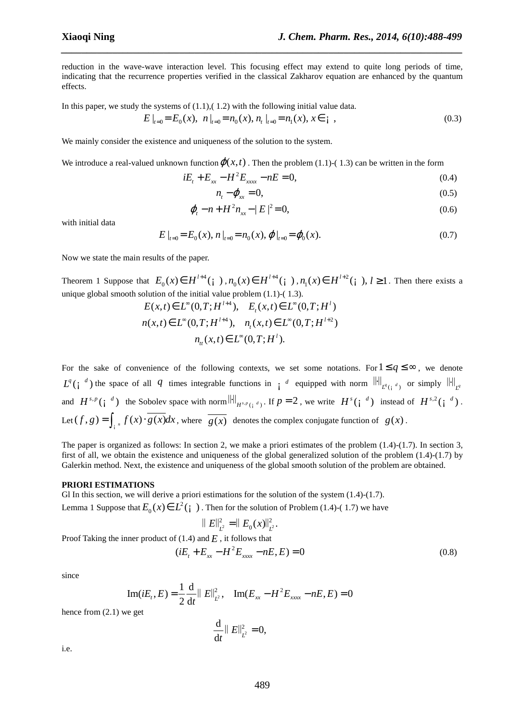reduction in the wave-wave interaction level. This focusing effect may extend to quite long periods of time, indicating that the recurrence properties verified in the classical Zakharov equation are enhanced by the quantum effects.

*\_\_\_\_\_\_\_\_\_\_\_\_\_\_\_\_\_\_\_\_\_\_\_\_\_\_\_\_\_\_\_\_\_\_\_\_\_\_\_\_\_\_\_\_\_\_\_\_\_\_\_\_\_\_\_\_\_\_\_\_\_\_\_\_\_\_\_\_\_\_\_\_\_\_\_\_\_\_*

In this paper, we study the systems of  $(1.1)$ ,  $(1.2)$  with the following initial value data.

 $E\big|_{t=0} = E_0(x), n\big|_{t=0} = n_0(x), n, \big|_{t=0} = n_1(x), x \in \mathfrak{i}$  (0.3)

We mainly consider the existence and uniqueness of the solution to the system.

We introduce a real-valued unknown function  $\varphi(x, t)$ . Then the problem (1.1)-(1.3) can be written in the form

$$
iE_t + E_{xx} - H^2 E_{xxx} - nE = 0,
$$
\n(0.4)

$$
n_t - \varphi_{xx} = 0,\tag{0.5}
$$

$$
\varphi_t - n + H^2 n_{xx} - |E|^2 = 0,\tag{0.6}
$$

with initial data

$$
E\big|_{t=0} = E_0(x), \, n\big|_{t=0} = n_0(x), \, \varphi\big|_{t=0} = \varphi_0(x). \tag{0.7}
$$

Now we state the main results of the paper.

Theorem 1 Suppose that  $E_0(x) \in H^{l+4}(\gamma)$ ,  $n_0(x) \in H^{l+4}$  $n_{0}(x) \in H^{l+4}(\dagger), n_{1}(x) \in H^{l+2}$  $n_1(x) \in H^{l+2}$  (*i*),  $l \ge 1$ . Then there exists a unique global smooth solution of the initial value problem (1.1)-( 1.3).

$$
E(x,t) \in L^{\infty}(0,T;H^{l+4}), \quad E_t(x,t) \in L^{\infty}(0,T;H^l)
$$
  

$$
n(x,t) \in L^{\infty}(0,T;H^{l+4}), \quad n_t(x,t) \in L^{\infty}(0,T;H^{l+2})
$$
  

$$
n_t(x,t) \in L^{\infty}(0,T;H^l).
$$

For the sake of convenience of the following contexts, we set some notations. For  $1 \le q \le \infty$ , we denote  $L^q(i^{d})$  the space of all *q* times integrable functions in *i d* equipped with norm  $\left\| \cdot \right\|_{L^q(i^{d})}$  or simply  $\left\| \cdot \right\|_{L^q}$ and  $H^{s,p}(\mathfrak{i}^d)$  the Sobolev space with norm  $\|\cdot\|_{H^{s,p}(\mathfrak{i}^d)}$ . If  $p = 2$ , we write  $H^s(\mathfrak{i}^d)$  instead of  $H^{s,2}(\mathfrak{i}^d)$ . Let  $(f, g) = \int_{\mathfrak{i}^n} f(x) \cdot \overline{g(x)} dx$ , where  $\overline{g(x)}$  denotes the complex conjugate function of  $g(x)$ .

The paper is organized as follows: In section 2, we make a priori estimates of the problem  $(1.4)-(1.7)$ . In section 3, first of all, we obtain the existence and uniqueness of the global generalized solution of the problem (1.4)-(1.7) by Galerkin method. Next, the existence and uniqueness of the global smooth solution of the problem are obtained.

#### **PRIORI ESTIMATIONS**

Gl In this section, we will derive a priori estimations for the solution of the system (1.4)-(1.7).

Lemma 1 Suppose that 
$$
E_0(x) \in L^2(\mathfrak{i})
$$
. Then for the solution of Problem (1.4)-(1.7) we have

$$
\|E\|_{L^2}^2 = \|E_0(x)\|_{L^2}^2.
$$

Proof Taking the inner product of (1.4) and *E* , it follows that

$$
(iE_t + E_{xx} - H^2 E_{xxx} - nE, E) = 0
$$
\n(0.8)

since

Im(*iE<sub>t</sub>*, E) = 
$$
\frac{1}{2} \frac{d}{dt} ||E||_{L^2}^2
$$
, Im(*E<sub>xx</sub>* - *H*<sup>2</sup>*E<sub>xxxx</sub>* - *nE*, *E*) = 0

hence from (2.1) we get

$$
\frac{\mathrm{d}}{\mathrm{d}t} \parallel E\Vert^{2}_{L^{2}}=0,
$$

i.e.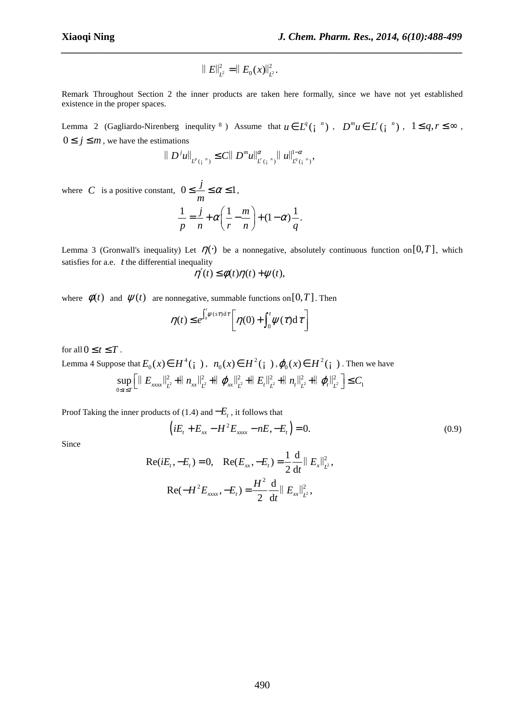$$
\|E\|_{L^2}^2 = \|E_0(x)\|_{L^2}^2.
$$

Remark Throughout Section 2 the inner products are taken here formally, since we have not yet established existence in the proper spaces.

*\_\_\_\_\_\_\_\_\_\_\_\_\_\_\_\_\_\_\_\_\_\_\_\_\_\_\_\_\_\_\_\_\_\_\_\_\_\_\_\_\_\_\_\_\_\_\_\_\_\_\_\_\_\_\_\_\_\_\_\_\_\_\_\_\_\_\_\_\_\_\_\_\_\_\_\_\_\_*

Lemma 2 (Gagliardo-Nirenberg inequlity <sup>8</sup>) Assume that  $u \in L^q(\gamma^n)$ ,  $D^m u \in L^r(\gamma^n)$ ,  $1 \le q, r \le \infty$ ,  $0 \le j \le m$ , we have the estimations

$$
||D^{j}u||_{L^{p}(\mathbf{i}^{n})}\leq C||D^{m}u||_{L^{r}(\mathbf{i}^{n})}^{\alpha}||u||_{L^{q}(\mathbf{i}^{n})}^{1-\alpha},
$$

where *C* is a positive constant,  $0 \le \frac{j}{\epsilon} \le \alpha \le 1$ *m*  $\leq$   $\leq$   $\leq$   $\leq$   $\leq$   $\leq$   $\leq$   $\leq$   $\leq$   $\leq$   $\leq$   $\leq$   $\leq$   $\leq$   $\leq$   $\leq$   $\leq$   $\leq$   $\leq$   $\leq$   $\leq$   $\leq$   $\leq$   $\leq$   $\leq$   $\leq$   $\leq$   $\leq$   $\leq$   $\leq$   $\leq$   $\leq$   $\leq$   $\leq$   $\leq$   $\leq$   $\leq$  $\frac{1}{-} = \frac{j}{+} \alpha \left( \frac{1}{-} - \frac{m}{-} \right) + (1 - \alpha) \frac{1}{-}$ .  $p \quad n \quad (r \quad n) \quad q$  $\alpha\left(\frac{1-m}{2}\right) + (1-\alpha)$  $=\frac{J}{n} + \alpha \left( \frac{1}{r} - \frac{m}{n} \right) + (1 -$ 

Lemma 3 (Gronwall's inequality) Let  $\eta(\cdot)$  be a nonnegative, absolutely continuous function on [0, *T*], which satisfies for a.e. *t* the differential inequality

$$
\eta'(t) \le \phi(t)\eta(t) + \psi(t),
$$

where  $\phi(t)$  and  $\psi(t)$  are nonnegative, summable functions on [0, *T*]. Then

$$
\eta(t) \leq e^{\int_0^t \psi(st)dt} \left[ \eta(0) + \int_0^t \psi(\tau) d\tau \right]
$$

for all  $0 \le t \le T$ .

Lemma 4 Suppose that  $E_0(x) \in H^4(\gamma)$ ,  $n_0(x) \in H^2$  $n_0(x) \in H^2(\gamma)$ ,  $\varphi_0(x) \in H^2(\gamma)$ . Then we have  $\frac{2}{n^2}$ +||  $n_{xx}$ || $\frac{2}{n^2}$ +||  $\varphi_{xx}$ || $\frac{2}{n^2}$ +||  $E_t$ || $\frac{2}{n^2}$ +||  $n_t$ || $\frac{2}{n^2}$ +||  $\varphi_t$ || $\frac{2}{n^2}$  $\sup_{0 \le t \le T} \left[ \left\| E_{xxx} \right\|_{L^2}^2 + \left\| n_{xx} \right\|_{L^2}^2 + \left\| \varphi_{xx} \right\|_{L^2}^2 + \left\| E_t \right\|_{L^2}^2 + \left\| n_t \right\|_{L^2}^2 + \left\| \varphi_t \right\|_{L^2}^2 \right] \le C_1$  $E_{xxxx}||_{r^2}^2 + || n_{xx}||_{r^2}^2 + || \varphi_{xx}||_{r^2}^2 + || E_t||_{r^2}^2 + || n_t||_{r^2}^2 + || \varphi_t||_{r^2}^2 \leq C$  $\leq t \leq$  $\left[ \parallel E_{\text{xxx}} \parallel_{L^2}^2 + \parallel n_{xx} \parallel_{L^2}^2 + \parallel \varphi_{xx} \parallel_{L^2}^2 + \parallel E_t \parallel_{L^2}^2 + \parallel n_t \parallel_{L^2}^2 + \parallel \varphi_t \parallel_{L^2}^2 \right] \leq$ 

Proof Taking the inner products of (1.4) and −*E<sup>t</sup>* , it follows that

$$
(iE_t + E_{xx} - H^2 E_{xxx} - nE, -E_t) = 0.
$$
\n(0.9)

Since

$$
\operatorname{Re}(iE_t, -E_t) = 0, \quad \operatorname{Re}(E_{xx}, -E_t) = \frac{1}{2} \frac{d}{dt} ||E_x||_{L^2}^2,
$$
\n
$$
\operatorname{Re}(-H^2 E_{xxx}, -E_t) = \frac{H^2}{2} \frac{d}{dt} ||E_{xx}||_{L^2}^2,
$$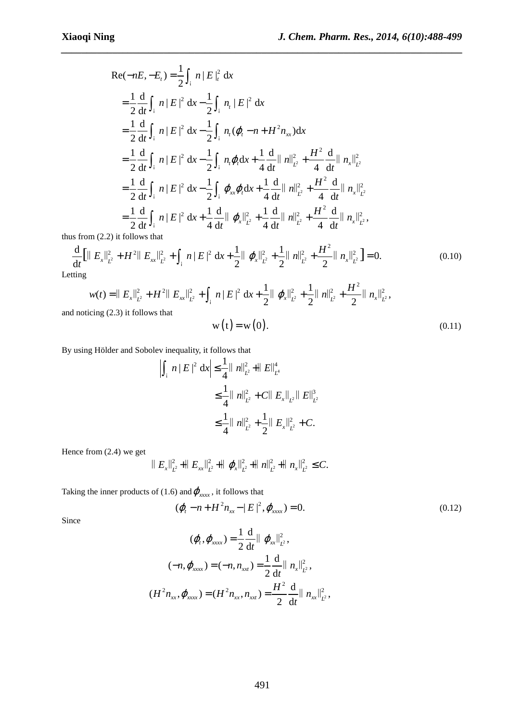$$
Re(-nE, -E_t) = \frac{1}{2} \int_{A}^{t} n |E|_{t}^{2} dx
$$
  
\n
$$
= \frac{1}{2} \frac{d}{dt} \int_{A}^{t} n |E|^{2} dx - \frac{1}{2} \int_{A}^{t} n |E|^{2} dx
$$
  
\n
$$
= \frac{1}{2} \frac{d}{dt} \int_{A}^{t} n |E|^{2} dx - \frac{1}{2} \int_{A}^{t} n (\varphi_{t} - n + H^{2} n_{xx}) dx
$$
  
\n
$$
= \frac{1}{2} \frac{d}{dt} \int_{A}^{t} n |E|^{2} dx - \frac{1}{2} \int_{A}^{t} n \varphi_{t} dx + \frac{1}{4} \frac{d}{dt} ||n||_{L^{2}}^{2} + \frac{H^{2}}{4} \frac{d}{dt} ||n_{x}||_{L^{2}}^{2}
$$
  
\n
$$
= \frac{1}{2} \frac{d}{dt} \int_{A}^{t} n |E|^{2} dx - \frac{1}{2} \int_{A}^{t} \varphi_{xx} \varphi_{t} dx + \frac{1}{4} \frac{d}{dt} ||n||_{L^{2}}^{2} + \frac{H^{2}}{4} \frac{d}{dt} ||n_{x}||_{L^{2}}^{2}
$$
  
\n
$$
= \frac{1}{2} \frac{d}{dt} \int_{A}^{t} n |E|^{2} dx + \frac{1}{4} \frac{d}{dt} ||\varphi_{x}||_{L^{2}}^{2} + \frac{1}{4} \frac{d}{dt} ||n||_{L^{2}}^{2} + \frac{H^{2}}{4} \frac{d}{dt} ||n_{x}||_{L^{2}}^{2},
$$

thus from (2.2) it follows that

$$
\frac{\mathrm{d}}{\mathrm{d}t} \left[ \|\ E_x \|^2_{L^2} + H^2 \|\ E_{xx} \|^2_{L^2} + \int_{\mathbf{i}} n \|E\|^2 \ \mathrm{d}x + \frac{1}{2} \|\ \varphi_x \|^2_{L^2} + \frac{1}{2} \|\ n\|^2_{L^2} + \frac{H^2}{2} \|\ n_x \|^2_{L^2} \right] = 0. \tag{0.10}
$$

*\_\_\_\_\_\_\_\_\_\_\_\_\_\_\_\_\_\_\_\_\_\_\_\_\_\_\_\_\_\_\_\_\_\_\_\_\_\_\_\_\_\_\_\_\_\_\_\_\_\_\_\_\_\_\_\_\_\_\_\_\_\_\_\_\_\_\_\_\_\_\_\_\_\_\_\_\_\_*

Letting

$$
w(t) = || E_x ||_{L^2}^2 + H^2 || E_{xx} ||_{L^2}^2 + \int_{A}^2 n || E ||^2 dx + \frac{1}{2} || \varphi_x ||_{L^2}^2 + \frac{1}{2} || n ||_{L^2}^2 + \frac{H^2}{2} || n_x ||_{L^2}^2,
$$
  
iticing (2.3) it follows that

and noticing (2.3) it follows that

$$
w(t) = w(0). \tag{0.11}
$$

By using Hölder and Sobolev inequality, it follows that

$$
\int_{A} n |E|^2 dx \leq \frac{1}{4} ||n||_{L^2}^2 + ||E||_{L^4}^4
$$
  
\n
$$
\leq \frac{1}{4} ||n||_{L^2}^2 + C ||E_x||_{L^2} ||E||_{L^2}^3
$$
  
\n
$$
\leq \frac{1}{4} ||n||_{L^2}^2 + \frac{1}{2} ||E_x||_{L^2}^2 + C.
$$

Hence from (2.4) we get

$$
\|E_x\|_{L^2}^2 + \|E_{xx}\|_{L^2}^2 + \|\varphi_x\|_{L^2}^2 + \|n\|_{L^2}^2 + \|n_x\|_{L^2}^2 \leq C.
$$

Taking the inner products of (1.6) and  $\varphi_{xxx}$ , it follows that

$$
(\varphi_t - n + H^2 n_{xx} - |E|^2, \varphi_{xxxx}) = 0.
$$
 (0.12)

Since

$$
(\varphi_t, \varphi_{xxx}) = \frac{1}{2} \frac{d}{dt} || \varphi_{xx} ||_{L^2}^2,
$$
  

$$
(-n, \varphi_{xxx}) = (-n, n_{xx}) = \frac{1}{2} \frac{d}{dt} || n_x ||_{L^2}^2,
$$
  

$$
(H^2 n_{xx}, \varphi_{xxx}) = (H^2 n_{xx}, n_{xx}) = \frac{H^2}{2} \frac{d}{dt} || n_{xx} ||_{L^2}^2,
$$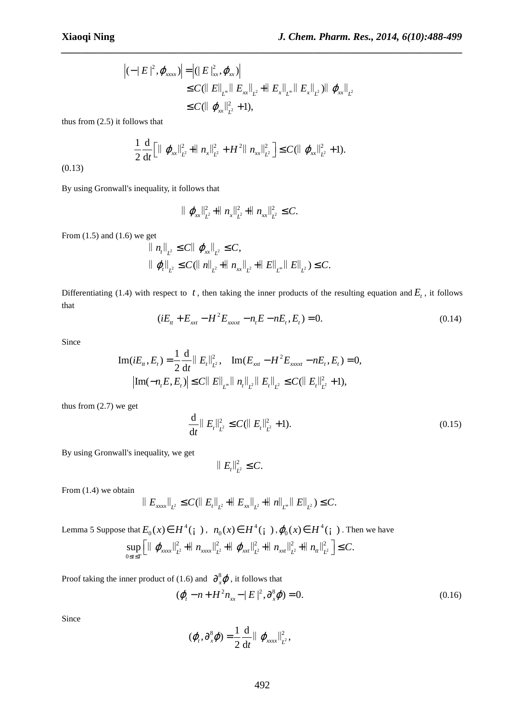$$
\begin{aligned} \left| (-|E|^2, \varphi_{xxxx}) \right| &= \left| (|E|_{xx}^2, \varphi_{xx}) \right| \\ &\leq C (\|E\|_{L^{\infty}} \|E_{xx}\|_{L^2} + \|E_x\|_{L^{\infty}} \|E_x\|_{L^2}) \| \varphi_{xx}\|_{L^2} \\ &\leq C (\| \varphi_{xx}\|_{L^2}^2 + 1), \end{aligned}
$$

*\_\_\_\_\_\_\_\_\_\_\_\_\_\_\_\_\_\_\_\_\_\_\_\_\_\_\_\_\_\_\_\_\_\_\_\_\_\_\_\_\_\_\_\_\_\_\_\_\_\_\_\_\_\_\_\_\_\_\_\_\_\_\_\_\_\_\_\_\_\_\_\_\_\_\_\_\_\_*

thus from (2.5) it follows that

$$
\frac{1}{2}\frac{\mathrm{d}}{\mathrm{d}t}\Big[\|\varphi_{xx}\|_{L^2}^2 + \|n_x\|_{L^2}^2 + H^2\|n_{xx}\|_{L^2}^2\Big] \leq C(\|\varphi_{xx}\|_{L^2}^2 + 1).
$$

(0.13)

By using Gronwall's inequality, it follows that

$$
\| \varphi_{xx} \|_{L^2}^2 + \| n_x \|_{L^2}^2 + \| n_{xx} \|_{L^2}^2 \leq C.
$$

From  $(1.5)$  and  $(1.6)$  we get

$$
\begin{aligned}\n\| n_t \|_{L^2} &\leq C \|\varphi_{xx}\|_{L^2} \leq C, \\
\| \varphi_t \|_{L^2} &\leq C (\| n \|_{L^2} + \| n_{xx}\|_{L^2} + \| E \|_{L^{\infty}} \| E \|_{L^2}) \leq C.\n\end{aligned}
$$

Differentiating (1.4) with respect to  $t$ , then taking the inner products of the resulting equation and  $E_t$ , it follows that

$$
(iE_{tt} + E_{xx} - H^2 E_{xxxx} - n_t E - nE_t, E_t) = 0.
$$
\n(0.14)

Since

$$
\text{Im}(iE_{tt}, E_t) = \frac{1}{2} \frac{\mathrm{d}}{\mathrm{d}t} || E_t ||_{L^2}^2, \quad \text{Im}(E_{\text{ext}} - H^2 E_{\text{ext}} - nE_t, E_t) = 0,
$$
\n
$$
\left| \text{Im}(-n_t E, E_t) \right| \le C || E ||_{L^{\infty}} || n_t ||_{L^2} || E_t ||_{L^2} \le C (|| E_t ||_{L^2}^2 + 1),
$$

thus from (2.7) we get

$$
\frac{\mathrm{d}}{\mathrm{d}t} \parallel E_t \parallel_{L^2}^2 \le C (\parallel E_t \parallel_{L^2}^2 + 1). \tag{0.15}
$$

By using Gronwall's inequality, we get

$$
||E_t||_{L^2}^2 \leq C.
$$

From (1.4) we obtain

$$
\|E_{xxx}\|_{L^2} \leq C(\|E_t\|_{L^2} + \|E_{xx}\|_{L^2} + \|h\|_{L^\infty} \|E\|_{L^2}) \leq C.
$$

Lemma 5 Suppose that  $E_0(x) \in H^4(\gamma)$ ,  $n_0(x) \in H^4$  $n_0(x) \in H^4(\mathfrak{g} \cdot), \varphi_0(x) \in H^4(\mathfrak{g} \cdot)$ . Then we have  $\frac{2}{r^2}$  +  $|| n_{\text{r}rr} ||_{r^2}^2$  +  $|| \varphi_{rr} ||_{r^2}^2$  +  $|| n_{rr} ||_{r^2}^2$  +  $|| n_{tt} ||_{r^2}^2$  $\boldsymbol{0}$  $\sup_{0 \le t \le T} \left[ \left\| \left( \left\| \varphi_{\text{xxx}} \right\|_{L^2}^2 + \left\| \left\| n_{\text{xxx}} \right\|_{L^2}^2 + \left\| \left\| \varphi_{\text{xxt}} \right\|_{L^2}^2 + \left\| \left\| n_{\text{xxt}} \right\|_{L^2}^2 \right\| \right) \right] \right] \le C.$  $\|\varphi_{xxx}\|_{L^2}^2 + \|n_{xxx}\|_{L^2}^2 + \|\varphi_{xx}\|_{L^2}^2 + \|n_{xx}\|_{L^2}^2 + \|n_{tt}\|_{L^2}^2 \leq C$  $\leq t \leq$  $\left[\|\varphi_{xxx}\|_{L^2}^2+\|n_{xxx}\|_{L^2}^2+\|\varphi_{x}^{\quad}\|_{L^2}^2+\|n_{xx}\|_{L^2}^2+\|n_{tt}\|_{L^2}^2\right]\leq$ 

Proof taking the inner product of (1.6) and  $\partial_x^8 \varphi$ , it follows that

$$
(\varphi_t - n + H^2 n_{xx} - |E|^2, \partial_x^8 \varphi) = 0.
$$
 (0.16)

Since

$$
(\boldsymbol{\varphi}_t,\partial_x^8\boldsymbol{\varphi})=\frac{1}{2}\frac{\mathrm{d}}{\mathrm{d}t}\|\boldsymbol{\varphi}_{xxxx}\|_{L^2}^2,
$$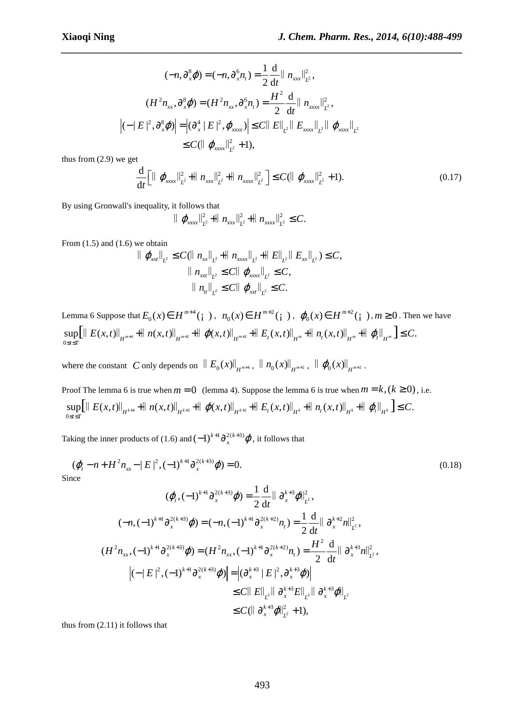2

*t*

ϕ

$$
(-n, \partial_x^8 \varphi) = (-n, \partial_x^6 n_t) = \frac{1}{2} \frac{d}{dt} || n_{xxx} ||_{L^2}^2,
$$
  

$$
(H^2 n_{xx}, \partial_x^8 \varphi) = (H^2 n_{xx}, \partial_x^6 n_t) = \frac{H^2}{2} \frac{d}{dt} || n_{xxx} ||_{L^2}^2,
$$
  

$$
|(-|E|^2, \partial_x^8 \varphi)| = |(\partial_x^4 | E|^2, \varphi_{xxxx})| \le C || E||_{L^2} || E_{xxxx} ||_{L^2} || \varphi_{xxxx} ||_{L^2}
$$
  

$$
\le C (|| \varphi_{xxxx} ||_{L^2}^2 + 1),
$$

*\_\_\_\_\_\_\_\_\_\_\_\_\_\_\_\_\_\_\_\_\_\_\_\_\_\_\_\_\_\_\_\_\_\_\_\_\_\_\_\_\_\_\_\_\_\_\_\_\_\_\_\_\_\_\_\_\_\_\_\_\_\_\_\_\_\_\_\_\_\_\_\_\_\_\_\_\_\_*

thus from (2.9) we get

$$
\frac{d}{dt} \Big[ || \varphi_{xxx} ||_{L^2}^2 + || n_{xx} ||_{L^2}^2 + || n_{xxx} ||_{L^2}^2 \Big] \leq C ( || \varphi_{xxx} ||_{L^2}^2 + 1). \tag{0.17}
$$

By using Gronwall's inequality, it follows that

$$
\|\varphi_{xxx}\|_{L^2}^2 + \|n_{xxx}\|_{L^2}^2 + \|n_{xxx}\|_{L^2}^2 \leq C.
$$

From  $(1.5)$  and  $(1.6)$  we obtain

$$
\| \varphi_{xx} \|_{L^2} \leq C (\| n_{xx} \|_{L^2} + \| n_{xxxx} \|_{L^2} + \| E \|_{L^2} \| E_{xx} \|_{L^2}) \leq C,
$$
  

$$
\| n_{xx} \|_{L^2} \leq C \| \varphi_{xxxx} \|_{L^2} \leq C,
$$
  

$$
\| n_{tt} \|_{L^2} \leq C \| \varphi_{xx} \|_{L^2} \leq C.
$$

Lemma 6 Suppose that  $E_0(x) \in H^{m+4}(\dagger)$ ,  $n_0(x) \in H^{m+2}$  $n_0(x) \in H^{m+2}(\dagger), \ \varphi_0(x) \in H^{m+2}$  $\varphi_0(x) \in H^{m+2}(\mathfrak{i} \cdot), m \ge 0$ . Then we have  $\sup_{0 \le t \le T} \left[ \left\| E(x,t) \right\|_{H^{m+4}} + \left\| n(x,t) \right\|_{H^{m+2}} + \left\| \left. \varphi(x,t) \right\|_{H^{m+2}} + \left\| E_t(x,t) \right\|_{H^m} + \left\| n_t(x,t) \right\|_{H^m} + \left\| \left. \varphi_t \right\|_{H^m} \right] \le C.$  $\|E(x,t)\|_{L^{m+4}} + \|n(x,t)\|_{L^{m+2}} + \|\varphi(x,t)\|_{L^{m+2}} + \|E_t(x,t)\|_{L^m} + \|n(x,t)\|_{L^m} + \|\varphi_t\|_{L^m} \leq C$  $\leq t \leq$  $\|E(x,t)\|_{L^{m+4}} + \|n(x,t)\|_{L^{m+2}} + \| \varphi(x,t)\|_{L^{m+2}} + \|E_{t}(x,t)\|_{L^{m}} + \|n_{t}(x,t)\|_{L^{m}} + \| \varphi_{t}\|_{L^{m}} \leq$ 

where the constant *C* only depends on  $\|E_0(x)\|_{H^{m+4}}$ ,  $\|n_0(x)\|_{H^{m+2}}$ ,  $\|\varphi_0(x)\|_{H^{m+2}}$ .

Proof The lemma 6 is true when  $m = 0$  (lemma 4). Suppose the lemma 6 is true when  $m = k$ ,  $(k \ge 0)$ , i.e.  $\sup_{0 \le t \le T} \left[ \left\| E(x,t) \right\|_{H^{k+4}} + \left\| n(x,t) \right\|_{H^{k+2}} + \left\| \varphi(x,t) \right\|_{H^{k+2}} + \left\| E_t(x,t) \right\|_{H^k} + \left\| n_t(x,t) \right\|_{H^k} + \left\| \varphi_t \right\|_{H^k} \right] \le C.$  $E(x,t)\Vert_{L^{k+4}} + \Vert n(x,t)\Vert_{L^{k+2}} + \Vert \varphi(x,t)\Vert_{L^{k+2}} + \Vert E_t(x,t)\Vert_{L^{k}} + \Vert n_t(x,t)\Vert_{L^{k}} + \Vert \varphi_t \Vert_{L^{k}} \leq C$  $\leq t \leq$  $\|E(x,t)\|_{u^{k+4}} + \|n(x,t)\|_{u^{k+2}} + \|\varphi(x,t)\|_{u^{k+2}} + \|E_t(x,t)\|_{u^k} + \|n_t(x,t)\|_{u^k} + \|\varphi_t\|_{u^k} \leq$ 

Taking the inner products of (1.6) and  $(-1)^{k+1} \partial_x^{2(k+3)} \varphi$ , it follows that

$$
(\varphi_t - n + H^2 n_{xx} - |E|^2, (-1)^{k+1} \partial_x^{2(k+3)} \varphi) = 0.
$$
\n(0.18)

$$
(\varphi_{t}, (-1)^{k+1} \partial_{x}^{2(k+3)} \varphi) = \frac{1}{2} \frac{d}{dt} || \partial_{x}^{k+3} \varphi ||_{L^{2}}^{2},
$$
  

$$
(-n, (-1)^{k+1} \partial_{x}^{2(k+3)} \varphi) = (-n, (-1)^{k+1} \partial_{x}^{2(k+2)} n_{t}) = \frac{1}{2} \frac{d}{dt} || \partial_{x}^{k+2} n ||_{L^{2}}^{2},
$$

$$
(H^{2} n_{xx}, (-1)^{k+1} \partial_{x}^{2(k+3)} \varphi) = (H^{2} n_{xx}, (-1)^{k+1} \partial_{x}^{2(k+2)} n_{t}) = \frac{H^{2}}{2} \frac{d}{dt} || \partial_{x}^{k+3} n ||_{L^{2}}^{2},
$$

$$
|(-|E|^{2}, (-1)^{k+1} \partial_{x}^{2(k+3)} \varphi)| = |(\partial_{x}^{k+3} | E|^{2}, \partial_{x}^{k+3} \varphi)|
$$

$$
\leq C \| E \|_{L^2} \| \partial_x^{k+3} E \|_{L^2} \| \partial_x^{k+3} \varphi \|_{L^2}
$$
  

$$
\leq C ( \| \partial_x^{k+3} \varphi \|_{L^2}^2 + 1 ),
$$

thus from (2.11) it follows that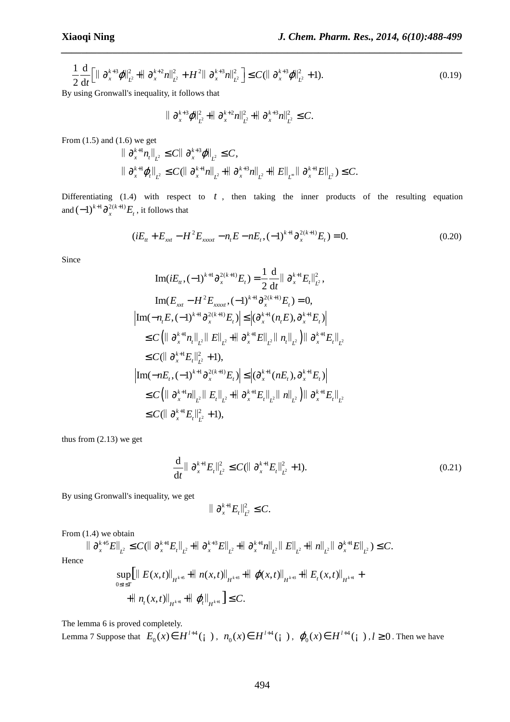$$
\frac{1}{2}\frac{\mathrm{d}}{\mathrm{d}t}\Big[\|\partial_x^{k+3}\varphi\|_{L^2}^2 + \|\partial_x^{k+2}n\|_{L^2}^2 + H^2\|\partial_x^{k+3}n\|_{L^2}^2\Big] \leq C(\|\partial_x^{k+3}\varphi\|_{L^2}^2 + 1). \tag{0.19}
$$

*\_\_\_\_\_\_\_\_\_\_\_\_\_\_\_\_\_\_\_\_\_\_\_\_\_\_\_\_\_\_\_\_\_\_\_\_\_\_\_\_\_\_\_\_\_\_\_\_\_\_\_\_\_\_\_\_\_\_\_\_\_\_\_\_\_\_\_\_\_\_\_\_\_\_\_\_\_\_*

By using Gronwall's inequality, it follows that

$$
\|\partial_x^{k+3}\varphi\|_{L^2}^2 + \|\partial_x^{k+2}n\|_{L^2}^2 + \|\partial_x^{k+3}n\|_{L^2}^2 \leq C.
$$

From  $(1.5)$  and  $(1.6)$  we get

$$
\|\partial_x^{k+1} n_t\|_{L^2} \leq C \|\partial_x^{k+3} \varphi\|_{L^2} \leq C,
$$
  

$$
\|\partial_x^{k+1} \varphi_t\|_{L^2} \leq C (\|\partial_x^{k+1} n\|_{L^2} + \|\partial_x^{k+3} n\|_{L^2} + \|E\|_{L^\infty} \|\partial_x^{k+1} E\|_{L^2}) \leq C.
$$

Differentiating (1.4) with respect to *t* , then taking the inner products of the resulting equation and  $(-1)^{k+1} \partial_x^{2(k+1)} E_t$ , it follows that

$$
(iE_{tt} + E_{xxt} - H^2 E_{xxxxt} - n_t E - nE_t, (-1)^{k+1} \partial_x^{2(k+1)} E_t) = 0.
$$
\n(0.20)

Since

$$
\text{Im}(iE_{tt}, (-1)^{k+1} \partial_x^{2(k+1)} E_t) = \frac{1}{2} \frac{d}{dt} || \partial_x^{k+1} E_t ||_{L^2}^2,
$$
\n
$$
\text{Im}(E_{xxt} - H^2 E_{xxxxt}, (-1)^{k+1} \partial_x^{2(k+1)} E_t) = 0,
$$
\n
$$
|\text{Im}(-n_t E, (-1)^{k+1} \partial_x^{2(k+1)} E_t) | \le |(\partial_x^{k+1} (n_t E), \partial_x^{k+1} E_t) |
$$
\n
$$
\le C (|| \partial_x^{k+1} n_t ||_{L^2} || E||_{L^2} + || \partial_x^{k+1} E||_{L^2} || n_t ||_{L^2}) || \partial_x^{k+1} E_t ||_{L^2}
$$
\n
$$
\le C (|| \partial_x^{k+1} E_t ||_{L^2}^2 + 1),
$$
\n
$$
|\text{Im}(-nE_t, (-1)^{k+1} \partial_x^{2(k+1)} E_t) | \le |(\partial_x^{k+1} (nE_t), \partial_x^{k+1} E_t) |
$$
\n
$$
\le C (|| \partial_x^{k+1} n||_{L^2} || E_t ||_{L^2} + || \partial_x^{k+1} E_t ||_{L^2} || n||_{L^2}) || \partial_x^{k+1} E_t ||_{L^2}
$$
\n
$$
\le C (|| \partial_x^{k+1} E_t ||_{L^2}^2 + 1),
$$

thus from (2.13) we get

$$
\frac{\mathrm{d}}{\mathrm{d}t} \|\partial_x^{k+1} E_t\|_{L^2}^2 \le C (\|\partial_x^{k+1} E_t\|_{L^2}^2 + 1). \tag{0.21}
$$

By using Gronwall's inequality, we get

$$
\|\partial_x^{k+1}E_t\|_{L^2}^2 \leq C.
$$

From (1.4) we obtain

$$
\|\partial_x^{k+5}E\|_{L^2} \le C(\|\partial_x^{k+1}E_t\|_{L^2} + \|\partial_x^{k+3}E\|_{L^2} + \|\partial_x^{k+1}n\|_{L^2}\|E\|_{L^2} + \|\eta\|_{L^2}\|\partial_x^{k+1}E\|_{L^2}) \le C.
$$
  
Hence

$$
\sup_{0 \leq t \leq T} \left\| E(x,t) \right\|_{H^{k+5}} + \left\| n(x,t) \right\|_{H^{k+3}} + \left\| \varphi(x,t) \right\|_{H^{k+3}} + \left\| E_t(x,t) \right\|_{H^{k+1}} + \left\| n_t(x,t) \right\|_{H^{k+1}} + \left\| \varphi_t \right\|_{H^{k+1}} \leq C.
$$

The lemma 6 is proved completely.

Lemma 7 Suppose that  $E_0(x) \in H^{l+4}(i)$ ,  $n_0(x) \in H^{l+4}$  $n_0(x) \in H^{l+4}(\mathfrak{c})$ ,  $\varphi_0(x) \in H^{l+4}$  $\varphi_0(x) \in H^{l+4}(\mathfrak{c} \mathfrak{c})$ ,  $l \ge 0$ . Then we have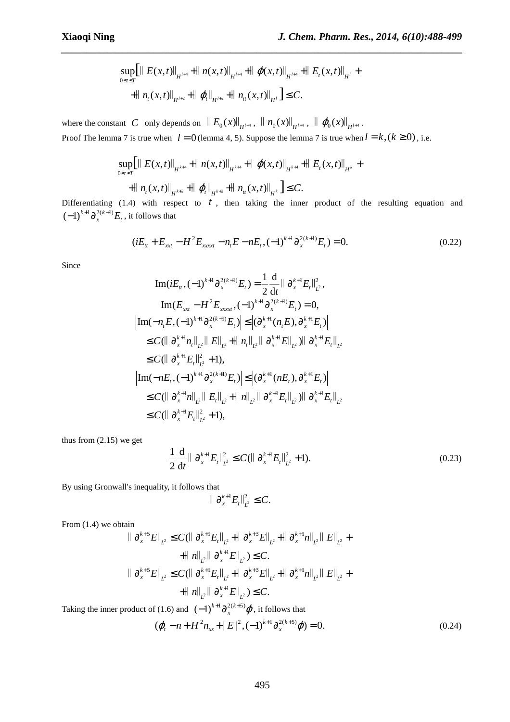$$
\sup_{0\leq t\leq T} \left[ \left\| E(x,t) \right\|_{H^{l+4}} + \left\| n(x,t) \right\|_{H^{l+4}} + \left\| \varphi(x,t) \right\|_{H^{l+4}} + \left\| E_t(x,t) \right\|_{H^l} + \right.
$$
  
+ 
$$
\left\| n_t(x,t) \right\|_{H^{l+2}} + \left\| \varphi_t \right\|_{H^{l+2}} + \left\| n_t(x,t) \right\|_{H^l} \leq C.
$$

*\_\_\_\_\_\_\_\_\_\_\_\_\_\_\_\_\_\_\_\_\_\_\_\_\_\_\_\_\_\_\_\_\_\_\_\_\_\_\_\_\_\_\_\_\_\_\_\_\_\_\_\_\_\_\_\_\_\_\_\_\_\_\_\_\_\_\_\_\_\_\_\_\_\_\_\_\_\_*

where the constant *C* only depends on  $\|E_0(x)\|_{H^{l+4}}$ ,  $\|n_0(x)\|_{H^{l+4}}$ ,  $\|\varphi_0(x)\|_{H^{l+4}}$ . Proof The lemma 7 is true when  $l = 0$  (lemma 4, 5). Suppose the lemma 7 is true when  $l = k$ ,  $(k \ge 0)$ , i.e.

$$
\sup_{0 \leq t \leq T} \left[ \left\| E(x,t) \right\|_{H^{k+4}} + \left\| n(x,t) \right\|_{H^{k+4}} + \left\| \left( \varphi(x,t) \right\|_{H^{k+4}} + \left\| E_t(x,t) \right\|_{H^k} + \right.
$$
  
+ 
$$
\left\| n_t(x,t) \right\|_{H^{k+2}} + \left\| \left( \varphi_t \right\|_{H^{k+2}} + \left\| n_t(x,t) \right\|_{H^k} \right] \leq C.
$$

Differentiating (1.4) with respect to *t* , then taking the inner product of the resulting equation and  $(-1)^{k+1} \partial_x^{2(k+1)} E_t$ , it follows that

$$
(iE_{tt} + E_{xxt} - H^2 E_{xxxt} - n_t E - nE_t, (-1)^{k+1} \partial_x^{2(k+1)} E_t) = 0.
$$
 (0.22)

Since

$$
\text{Im}(iE_{tt}, (-1)^{k+1} \partial_x^{2(k+1)} E_t) = \frac{1}{2} \frac{d}{dt} || \partial_x^{k+1} E_t ||_{L^2}^2,
$$
\n
$$
\text{Im}(E_{xxt} - H^2 E_{xxxxt}, (-1)^{k+1} \partial_x^{2(k+1)} E_t) = 0,
$$
\n
$$
\text{Im}(-n_t E, (-1)^{k+1} \partial_x^{2(k+1)} E_t) \leq |(\partial_x^{k+1} (n_t E), \partial_x^{k+1} E_t)|
$$
\n
$$
\leq C(||\partial_x^{k+1} n_t ||_{L^2} || E||_{L^2} + || n_t ||_{L^2} || \partial_x^{k+1} E||_{L^2}) || \partial_x^{k+1} E_t ||_{L^2}
$$
\n
$$
\leq C(||\partial_x^{k+1} E_t ||_{L^2}^2 + 1),
$$
\n
$$
\text{Im}(-nE_t, (-1)^{k+1} \partial_x^{2(k+1)} E_t) \leq |(\partial_x^{k+1} (nE_t), \partial_x^{k+1} E_t)|
$$
\n
$$
\leq C(||\partial_x^{k+1} n||_{L^2} || E_t ||_{L^2} + || n||_{L^2} || \partial_x^{k+1} E_t ||_{L^2}) || \partial_x^{k+1} E_t ||_{L^2}
$$
\n
$$
\leq C(||\partial_x^{k+1} E_t ||_{L^2}^2 + 1),
$$

thus from (2.15) we get

$$
\frac{1}{2}\frac{\mathrm{d}}{\mathrm{d}t} \|\partial_x^{k+1} E_t\|_{L^2}^2 \le C(\|\partial_x^{k+1} E_t\|_{L^2}^2 + 1). \tag{0.23}
$$

By using Gronwall's inequality, it follows that

$$
\|\partial_x^{k+1}E_t\|_{L^2}^2 \leq C.
$$

From  $(1.4)$  we obtain

$$
\|\partial_x^{k+5}E\|_{L^2} \leq C(\|\partial_x^{k+1}E_t\|_{L^2} + \|\partial_x^{k+3}E\|_{L^2} + \|\partial_x^{k+1}n\|_{L^2}\|E\|_{L^2} +
$$
  
\n
$$
+ \|\|n\|_{L^2}\|\partial_x^{k+1}E\|_{L^2}) \leq C.
$$
  
\n
$$
\|\partial_x^{k+5}E\|_{L^2} \leq C(\|\partial_x^{k+1}E_t\|_{L^2} + \|\partial_x^{k+3}E\|_{L^2} + \|\partial_x^{k+1}n\|_{L^2}\|E\|_{L^2} +
$$
  
\n
$$
+ \|\|n\|_{L^2}\|\partial_x^{k+1}E\|_{L^2}) \leq C.
$$

Taking the inner product of (1.6) and  $(-1)^{k+1} \partial_x^{2(k+5)} \varphi$ , it follows that

$$
(\varphi_t - n + H^2 n_{xx} + |E|^2, (-1)^{k+1} \partial_x^{2(k+5)} \varphi) = 0.
$$
\n(0.24)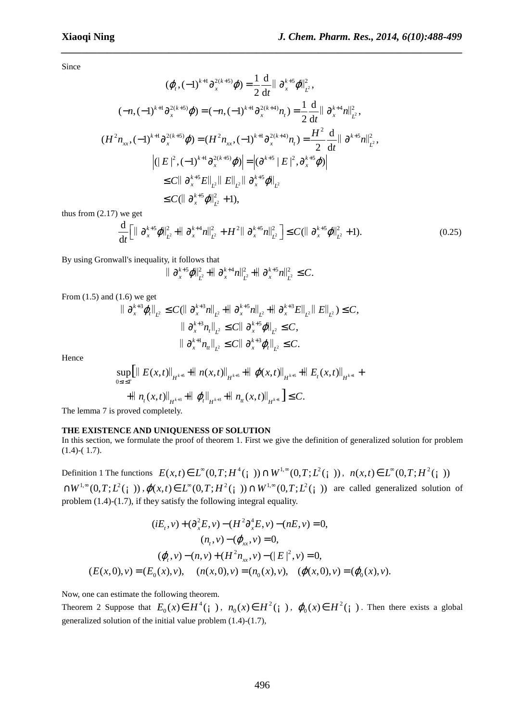Since

$$
(\varphi_{t}, (-1)^{k+1} \partial_{x}^{2(k+5)} \varphi) = \frac{1}{2} \frac{d}{dt} || \partial_{x}^{k+5} \varphi ||_{L^{2}}^{2},
$$
  
\n
$$
(-n, (-1)^{k+1} \partial_{x}^{2(k+5)} \varphi) = (-n, (-1)^{k+1} \partial_{x}^{2(k+4)} n_{t}) = \frac{1}{2} \frac{d}{dt} || \partial_{x}^{k+4} n ||_{L^{2}}^{2},
$$
  
\n
$$
(H^{2} n_{xx}, (-1)^{k+1} \partial_{x}^{2(k+5)} \varphi) = (H^{2} n_{xx}, (-1)^{k+1} \partial_{x}^{2(k+4)} n_{t}) = \frac{H^{2}}{2} \frac{d}{dt} || \partial_{x}^{k+5} n ||_{L^{2}}^{2},
$$
  
\n
$$
|(|E|^{2}, (-1)^{k+1} \partial_{x}^{2(k+5)} \varphi)| = |(\partial^{k+5} || E||^{2}, \partial_{x}^{k+5} \varphi)|
$$
  
\n
$$
\leq C || \partial_{x}^{k+5} E ||_{L^{2}} || E ||_{L^{2}} || \partial_{x}^{k+5} \varphi ||_{L^{2}}^{2}
$$
  
\n
$$
\leq C (|| \partial_{x}^{k+5} \varphi ||_{L^{2}}^{2} + 1),
$$

*\_\_\_\_\_\_\_\_\_\_\_\_\_\_\_\_\_\_\_\_\_\_\_\_\_\_\_\_\_\_\_\_\_\_\_\_\_\_\_\_\_\_\_\_\_\_\_\_\_\_\_\_\_\_\_\_\_\_\_\_\_\_\_\_\_\_\_\_\_\_\_\_\_\_\_\_\_\_*

thus from  $(2.17)$  we get

$$
\frac{\mathrm{d}}{\mathrm{d}t} \Big[ \|\partial_x^{k+5} \varphi\|_{L^2}^2 + \|\partial_x^{k+4} n\|_{L^2}^2 + H^2 \|\partial_x^{k+5} n\|_{L^2}^2 \Big] \leq C (\|\partial_x^{k+5} \varphi\|_{L^2}^2 + 1). \tag{0.25}
$$

By using Gronwall's inequality, it follows that

$$
\|\partial_x^{k+5}\varphi\|_{L^2}^2 + \|\partial_x^{k+4}n\|_{L^2}^2 + \|\partial_x^{k+5}n\|_{L^2}^2 \leq C.
$$

From  $(1.5)$  and  $(1.6)$  we get

$$
\|\partial_x^{k+3}\varphi_t\|_{L^2} \le C(\|\partial_x^{k+3} n\|_{L^2} + \|\partial_x^{k+5} n\|_{L^2} + \|\partial_x^{k+3} E\|_{L^2} \|E\|_{L^2}) \le C,
$$
  

$$
\|\partial_x^{k+3} n_t\|_{L^2} \le C\|\partial_x^{k+5}\varphi\|_{L^2} \le C,
$$
  

$$
\|\partial_x^{k+1} n_t\|_{L^2} \le C\|\partial_x^{k+3}\varphi_t\|_{L^2} \le C.
$$

Hence

$$
\sup_{0\leq t\leq T} \left[|| E(x,t)||_{H^{k+5}} + || n(x,t)||_{H^{k+5}} + || \varphi(x,t)||_{H^{k+5}} + || E_t(x,t)||_{H^{k+1}} + || n_t(x,t)||_{H^{k+3}} + || \varphi_n||_{H^{k+3}} + || n_t(x,t)||_{H^{k+1}} \right]
$$

The lemma 7 is proved completely.

#### **THE EXISTENCE AND UNIQUENESS OF SOLUTION**

In this section, we formulate the proof of theorem 1. First we give the definition of generalized solution for problem (1.4)-( 1.7).

Definition 1 The functions  $E(x,t) \in L^{\infty}(0,T; H^4(\frac{1}{2})) \cap W^{1,\infty}(0,T; L^2(\frac{1}{2}))$ ,  $n(x,t) \in L^{\infty}(0,T; H^2(\frac{1}{2}))$  $\bigcap W^{1,\infty}(0,T;L^2(\gamma))$ ,  $\varphi(x,t) \in L^{\infty}(0,T;H^2(\gamma)) \cap W^{1,\infty}(0,T;L^2(\gamma))$  are called generalized solution of problem (1.4)-(1.7), if they satisfy the following integral equality.

$$
(iE_t, v) + (\partial_x^2 E, v) - (H^2 \partial_x^4 E, v) - (nE, v) = 0,
$$
  
\n
$$
(n_t, v) - (\varphi_{xx}, v) = 0,
$$
  
\n
$$
(\varphi_t, v) - (n, v) + (H^2 n_{xx}, v) - (|E|^2, v) = 0,
$$
  
\n
$$
(E(x, 0), v) = (E_0(x), v), \quad (n(x, 0), v) = (n_0(x), v), \quad (\varphi(x, 0), v) = (\varphi_0(x), v).
$$

Now, one can estimate the following theorem.

Theorem 2 Suppose that  $E_0(x) \in H^4(\gamma)$ ,  $n_0(x) \in H^2$  $n_0(x) \in H^2(\mathfrak{z})$ ,  $\varphi_0(x) \in H^2(\mathfrak{z})$ . Then there exists a global generalized solution of the initial value problem (1.4)-(1.7),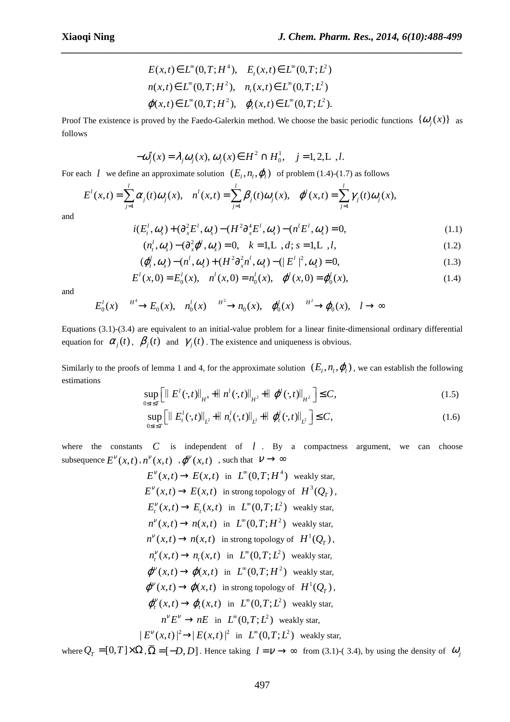$$
E(x,t) \in L^{\infty}(0,T;H^{4}), \quad E_{t}(x,t) \in L^{\infty}(0,T;L^{2})
$$
  

$$
n(x,t) \in L^{\infty}(0,T;H^{2}), \quad n_{t}(x,t) \in L^{\infty}(0,T;L^{2})
$$
  

$$
\varphi(x,t) \in L^{\infty}(0,T;H^{2}), \quad \varphi_{t}(x,t) \in L^{\infty}(0,T;L^{2}).
$$

Proof The existence is proved by the Faedo-Galerkin method. We choose the basic periodic functions  $\{\omega_i(x)\}\$ as follows

*\_\_\_\_\_\_\_\_\_\_\_\_\_\_\_\_\_\_\_\_\_\_\_\_\_\_\_\_\_\_\_\_\_\_\_\_\_\_\_\_\_\_\_\_\_\_\_\_\_\_\_\_\_\_\_\_\_\_\_\_\_\_\_\_\_\_\_\_\_\_\_\_\_\_\_\_\_\_*

$$
-\omega_j''(x) = \lambda_j \omega_j(x), \omega_j(x) \in H^2 \cap H_0^1, \quad j = 1, 2, L, l.
$$

For each *l* we define an approximate solution  $(E_i, n_i, \varphi)$  of problem (1.4)-(1.7) as follows

$$
E^{l}(x,t) = \sum_{j=1}^{l} \alpha_{j}(t) \omega_{j}(x), \quad n^{l}(x,t) = \sum_{j=1}^{l} \beta_{j}(t) \omega_{j}(x), \quad \varphi^{l}(x,t) = \sum_{j=1}^{l} \gamma_{j}(t) \omega_{j}(x),
$$

and

$$
i(E_t^l, \omega_s) + (\partial_x^2 E^l, \omega_s) - (H^2 \partial_x^4 E^l, \omega_s) - (n^l E^l, \omega_s) = 0,
$$
\n(1.1)

$$
(n_t^l, \omega_s) - (\partial_x^2 \varphi^l, \omega_s) = 0, \quad k = 1, L, d; s = 1, L, l,
$$
\n(1.2)

$$
(\varphi_t^j, \omega_s) - (n^i, \omega_s) + (H^2 \partial_x^2 n^i, \omega_s) - (|E^i|^2, \omega_s) = 0,
$$
\n(1.3)

$$
E^{l}(x,0) = E_{0}^{l}(x), \quad n^{l}(x,0) = n_{0}^{l}(x), \quad \varphi^{l}(x,0) = \varphi_{0}^{l}(x), \tag{1.4}
$$

and

$$
E_0^l(x) \xrightarrow{H^4} E_0(x), \quad n_0^l(x) \xrightarrow{H^2} n_0(x), \quad \varphi_0^l(x) \xrightarrow{H^2} \varphi_0(x), \quad l \to \infty
$$

Equations (3.1)-(3.4) are equivalent to an initial-value problem for a linear finite-dimensional ordinary differential equation for  $\alpha_j(t)$ ,  $\beta_j(t)$  and  $\gamma_j(t)$ . The existence and uniqueness is obvious.

Similarly to the proofs of lemma 1 and 4, for the approximate solution  $(E_1, n_1, \varphi_1)$ , we can establish the following estimations

$$
\sup_{0 \le t \le T} \left[ \left\| E^{t}(\cdot, t) \right\|_{H^{4}} + \left\| n^{t}(\cdot, t) \right\|_{H^{2}} + \left\| \phi^{t}(\cdot, t) \right\|_{H^{2}} \right] \le C, \tag{1.5}
$$

$$
\sup_{0 \le t \le T} \left[ \left\| E_t^l(\cdot, t) \right\|_{L^2} + \left\| n_t^l(\cdot, t) \right\|_{L^2} + \left\| \varphi_t^l(\cdot, t) \right\|_{L^2} \right] \le C, \tag{1.6}
$$

where the constants *C* is independent of *l*. By a compactness argument, we can choose subsequence  $E^{\nu}(x,t)$ ,  $n^{\nu}(x,t)$ ,  $\varphi^{\nu}(x,t)$ , such that  $\nu \to \infty$ 

> $E^{\nu}(x,t) \to E(x,t)$  in  $L^{\infty}(0,T;H^4)$  weakly star,  $E^{\nu}(x,t) \to E(x,t)$  in strong topology of  $H^3(Q_T)$ ,  $E_t^{\nu}(x,t) \to E_t(x,t)$  in  $L^{\infty}(0,T; L^2)$  weakly star,  $n^{\nu}(x,t) \rightarrow n(x,t)$  in  $L^{\infty}(0,T;H^2)$  weakly star,  $n^{\nu}(x,t) \rightarrow n(x,t)$  in strong topology of  $H^1(Q_T)$ ,  $n_t^{\nu}(x,t) \rightarrow n_t(x,t)$  in  $L^{\infty}(0,T;L^2)$  weakly star,  $\varphi^{V}(x,t) \rightarrow \varphi(x,t)$  in  $L^{\infty}(0,T;H^{2})$  weakly star,  $\varphi^{\nu}(x,t) \to \varphi(x,t)$  in strong topology of  $H^1(Q_T)$ ,  $\varphi_t^{\nu}(x,t) \to \varphi_t(x,t)$  in  $L^{\infty}(0,T; L^2)$  weakly star,  $n^{\nu} E^{\nu} \to nE$  in  $L^{\infty}(0,T; L^2)$  weakly star,  $|E^{\nu}(x,t)|^2 \rightarrow |E(x,t)|^2$  in  $L^{\infty}(0,T;L^2)$  weakly star,

where  $Q_T = [0, T] \times \Omega$ ,  $\overline{\Omega} = [-D, D]$ . Hence taking  $l = \nu \rightarrow \infty$  from (3.1)-(3.4), by using the density of  $\omega_j$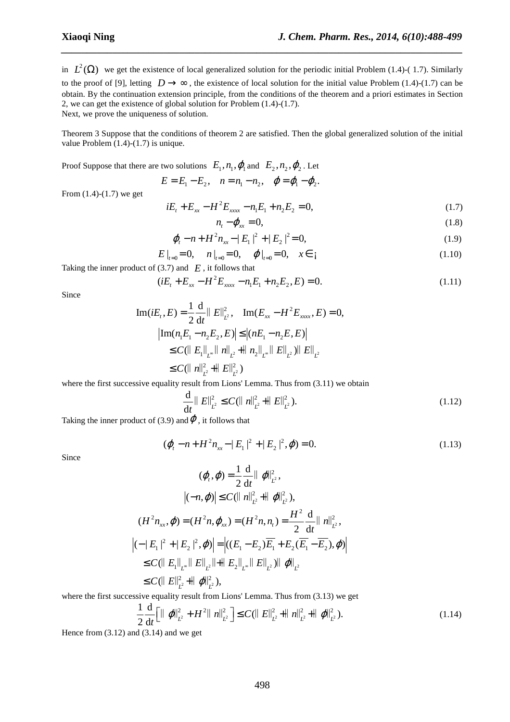in  $L^2(\Omega)$  we get the existence of local generalized solution for the periodic initial Problem (1.4)-(1.7). Similarly to the proof of [9], letting  $D \rightarrow \infty$ , the existence of local solution for the initial value Problem (1.4)-(1.7) can be obtain. By the continuation extension principle, from the conditions of the theorem and a priori estimates in Section 2, we can get the existence of global solution for Problem (1.4)-(1.7). Next, we prove the uniqueness of solution.

*\_\_\_\_\_\_\_\_\_\_\_\_\_\_\_\_\_\_\_\_\_\_\_\_\_\_\_\_\_\_\_\_\_\_\_\_\_\_\_\_\_\_\_\_\_\_\_\_\_\_\_\_\_\_\_\_\_\_\_\_\_\_\_\_\_\_\_\_\_\_\_\_\_\_\_\_\_\_*

Theorem 3 Suppose that the conditions of theorem 2 are satisfied. Then the global generalized solution of the initial value Problem (1.4)-(1.7) is unique.

Proof Suppose that there are two solutions  $E_1$ ,  $n_1$ ,  $\varphi_1$  and  $E_2$ ,  $n_2$ ,  $\varphi_2$ . Let

$$
E = E_1 - E_2, \quad n = n_1 - n_2, \quad \varphi = \varphi_1 - \varphi_2.
$$

From (1.4)-(1.7) we get

$$
iE_t + E_{xx} - H^2 E_{xxxx} - n_1 E_1 + n_2 E_2 = 0,
$$
\n(1.7)

$$
n_t - \varphi_{xx} = 0,\tag{1.8}
$$

$$
\varphi_t - n + H^2 n_{xx} - |E_1|^2 + |E_2|^2 = 0,
$$
\n(1.9)

$$
E\big|_{t=0} = 0, \quad n\big|_{t=0} = 0, \quad \varphi\big|_{t=0} = 0, \quad x \in \mathfrak{z}
$$
 (1.10)

Taking the inner product of  $(3.7)$  and  $E$ , it follows that

$$
(iE_t + E_{xx} - H^2 E_{xxx} - n_1 E_1 + n_2 E_2, E) = 0.
$$
\n(1.11)

Since

$$
\text{Im}(iE_t, E) = \frac{1}{2} \frac{d}{dt} ||E||_{L^2}^2, \quad \text{Im}(E_{xx} - H^2 E_{xxx}, E) = 0,
$$
\n
$$
|\text{Im}(n_1 E_1 - n_2 E_2, E)| \le |(nE_1 - n_2 E, E)|
$$
\n
$$
\le C(||E_1||_{L^{\infty}} ||n||_{L^2} + ||n_2||_{L^{\infty}} ||E||_{L^2}) ||E||_{L^2}
$$
\n
$$
\le C(||n||_{L^2}^2 + ||E||_{L^2}^2)
$$

where the first successive equality result from Lions' Lemma. Thus from (3.11) we obtain

$$
\frac{\mathrm{d}}{\mathrm{d}t} \parallel E \parallel_{L^2}^2 \le C (\parallel n \parallel_{L^2}^2 + \parallel E \parallel_{L^2}^2). \tag{1.12}
$$

Taking the inner product of (3.9) and  $\varphi$ , it follows that

$$
(\varphi_t - n + H^2 n_{xx} - |E_1|^2 + |E_2|^2, \varphi) = 0.
$$
 (1.13)

Since

$$
(\varphi, \varphi) = \frac{1}{2} \frac{d}{dt} || \varphi ||_{L^2}^2,
$$
  
\n
$$
|(-n, \varphi)| \le C(||n||_{L^2}^2 + ||\varphi||_{L^2}^2),
$$
  
\n
$$
(H^2 n_{xx}, \varphi) = (H^2 n, \varphi_{xx}) = (H^2 n, n_t) = \frac{H^2}{2} \frac{d}{dt} ||n||_{L^2}^2,
$$
  
\n
$$
(-||E_1||^2 + ||E_2||^2, \varphi)| = |((E_1 - E_2)\overline{E_1} + E_2(\overline{E_1} - \overline{E_2}), \varphi)|
$$
  
\n
$$
\le C(||E_1||_{L^2} ||E||_{L^2} ||+ ||E_2||_{L^2} ||E||_{L^2} )|| \varphi||_{L^2}
$$
  
\n
$$
\le C(||E||_{L^2}^2 + ||\varphi||_{L^2}^2),
$$

where the first successive equality result from Lions' Lemma. Thus from (3.13) we get

$$
\frac{1}{2}\frac{\mathrm{d}}{\mathrm{d}t}\Big[\|\varphi\|_{L^2}^2 + H^2\|\eta\|_{L^2}^2\Big] \le C(\|\varSigma\|_{L^2}^2 + \|\eta\|_{L^2}^2 + \|\varphi\|_{L^2}^2). \tag{1.14}
$$

Hence from  $(3.12)$  and  $(3.14)$  and we get